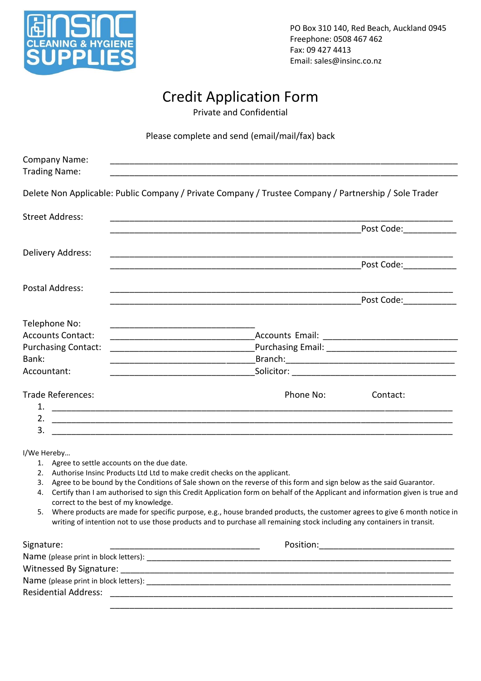

PO Box 310 140, Red Beach, Auckland 0945 Freephone: 0508 467 462 Fax: 09 427 4413 Email: sales@insinc.co.nz

# Credit Application Form

Private and Confidential

Please complete and send (email/mail/fax) back

| <b>Company Name:</b><br><b>Trading Name:</b> |                                                                                                                                                                                                                                                          |
|----------------------------------------------|----------------------------------------------------------------------------------------------------------------------------------------------------------------------------------------------------------------------------------------------------------|
|                                              | Delete Non Applicable: Public Company / Private Company / Trustee Company / Partnership / Sole Trader                                                                                                                                                    |
| <b>Street Address:</b>                       |                                                                                                                                                                                                                                                          |
|                                              | Post Code: __________                                                                                                                                                                                                                                    |
| Delivery Address:                            |                                                                                                                                                                                                                                                          |
|                                              | Post Code: ___________                                                                                                                                                                                                                                   |
| Postal Address:                              |                                                                                                                                                                                                                                                          |
|                                              | Post Code:____________                                                                                                                                                                                                                                   |
| Telephone No:                                |                                                                                                                                                                                                                                                          |
| <b>Accounts Contact:</b>                     |                                                                                                                                                                                                                                                          |
| <b>Purchasing Contact:</b>                   |                                                                                                                                                                                                                                                          |
| Bank:                                        |                                                                                                                                                                                                                                                          |
| Accountant:                                  |                                                                                                                                                                                                                                                          |
| <b>Trade References:</b>                     | Phone No:<br>Contact:                                                                                                                                                                                                                                    |
|                                              |                                                                                                                                                                                                                                                          |
|                                              |                                                                                                                                                                                                                                                          |
| 3.                                           |                                                                                                                                                                                                                                                          |
| I/We Hereby                                  |                                                                                                                                                                                                                                                          |
| 1. Agree to settle accounts on the due date. |                                                                                                                                                                                                                                                          |
|                                              | 2. Authorise Insinc Products Ltd Ltd to make credit checks on the applicant.                                                                                                                                                                             |
| 4.                                           | 3. Agree to be bound by the Conditions of Sale shown on the reverse of this form and sign below as the said Guarantor.<br>Certify than I am authorised to sign this Credit Application form on behalf of the Applicant and information given is true and |
| correct to the best of my knowledge.         |                                                                                                                                                                                                                                                          |
|                                              | 5. Where products are made for specific purpose, e.g., house branded products, the customer agrees to give 6 month notice in<br>writing of intention not to use those products and to purchase all remaining stock including any containers in transit.  |
| Signature:                                   |                                                                                                                                                                                                                                                          |
|                                              |                                                                                                                                                                                                                                                          |
|                                              |                                                                                                                                                                                                                                                          |
|                                              |                                                                                                                                                                                                                                                          |
|                                              |                                                                                                                                                                                                                                                          |
|                                              |                                                                                                                                                                                                                                                          |